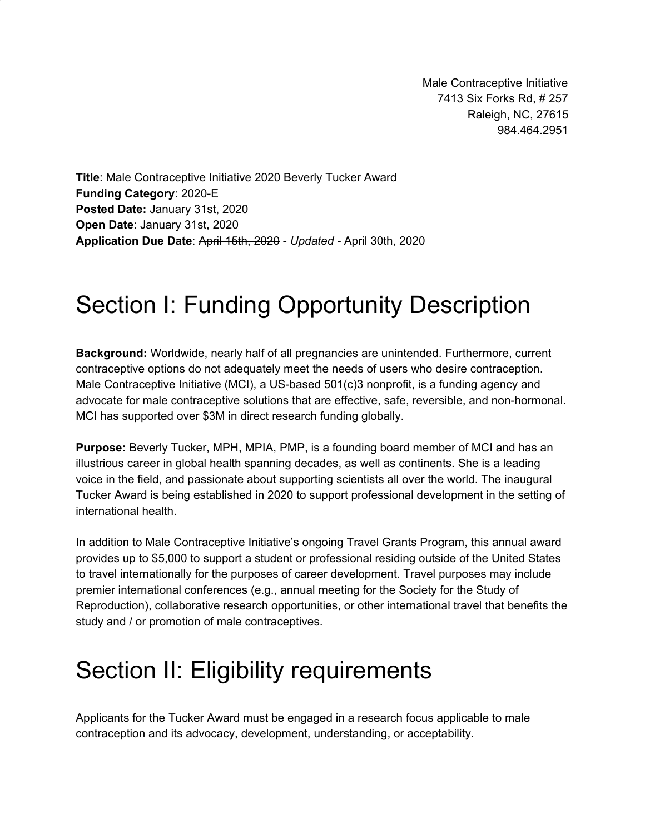Male Contraceptive Initiative 7413 Six Forks Rd, # 257 Raleigh, NC, 27615 984.464.2951

**Title**: Male Contraceptive Initiative 2020 Beverly Tucker Award **Funding Category**: 2020-E **Posted Date:** January 31st, 2020 **Open Date**: January 31st, 2020 **Application Due Date**: April 15th, 2020 - *Updated -* April 30th, 2020

# Section I: Funding Opportunity Description

**Background:** Worldwide, nearly half of all pregnancies are unintended. Furthermore, current contraceptive options do not adequately meet the needs of users who desire contraception. Male Contraceptive Initiative (MCI), a US-based 501(c)3 nonprofit, is a funding agency and advocate for male contraceptive solutions that are effective, safe, reversible, and non-hormonal. MCI has supported over \$3M in direct research funding globally.

**Purpose:** Beverly Tucker, MPH, MPIA, PMP, is a founding board member of MCI and has an illustrious career in global health spanning decades, as well as continents. She is a leading voice in the field, and passionate about supporting scientists all over the world. The inaugural Tucker Award is being established in 2020 to support professional development in the setting of international health.

In addition to Male Contraceptive Initiative's ongoing Travel Grants Program, this annual award provides up to \$5,000 to support a student or professional residing outside of the United States to travel internationally for the purposes of career development. Travel purposes may include premier international conferences (e.g., annual meeting for the Society for the Study of Reproduction), collaborative research opportunities, or other international travel that benefits the study and / or promotion of male contraceptives.

# Section II: Eligibility requirements

Applicants for the Tucker Award must be engaged in a research focus applicable to male contraception and its advocacy, development, understanding, or acceptability.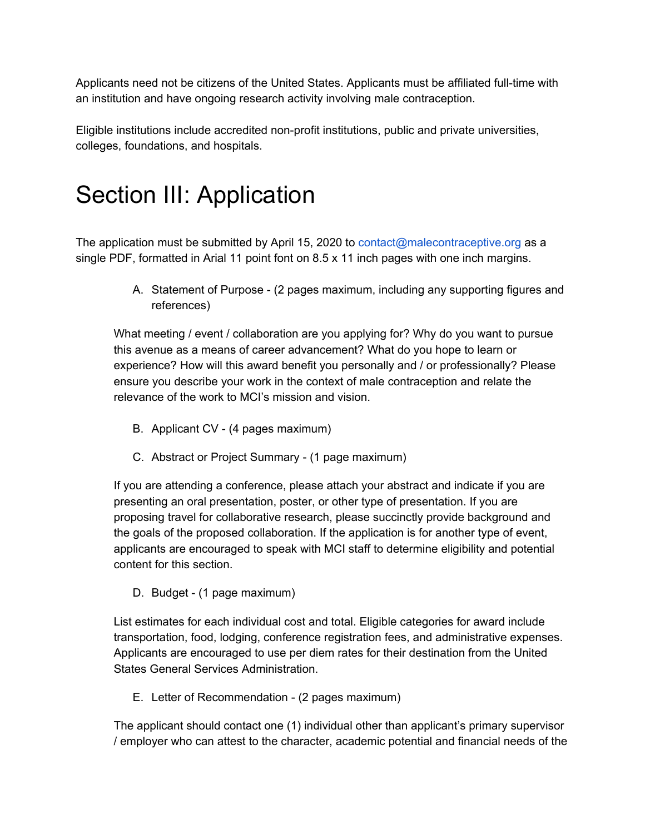Applicants need not be citizens of the United States. Applicants must be affiliated full-time with an institution and have ongoing research activity involving male contraception.

Eligible institutions include accredited non-profit institutions, public and private universities, colleges, foundations, and hospitals.

# Section III: Application

The application must be submitted by April 15, 2020 to contact@malecontraceptive.org as a single PDF, formatted in Arial 11 point font on 8.5 x 11 inch pages with one inch margins.

> A. Statement of Purpose - (2 pages maximum, including any supporting figures and references)

What meeting / event / collaboration are you applying for? Why do you want to pursue this avenue as a means of career advancement? What do you hope to learn or experience? How will this award benefit you personally and / or professionally? Please ensure you describe your work in the context of male contraception and relate the relevance of the work to MCI's mission and vision.

- B. Applicant CV (4 pages maximum)
- C. Abstract or Project Summary (1 page maximum)

If you are attending a conference, please attach your abstract and indicate if you are presenting an oral presentation, poster, or other type of presentation. If you are proposing travel for collaborative research, please succinctly provide background and the goals of the proposed collaboration. If the application is for another type of event, applicants are encouraged to speak with MCI staff to determine eligibility and potential content for this section.

D. Budget - (1 page maximum)

List estimates for each individual cost and total. Eligible categories for award include transportation, food, lodging, conference registration fees, and administrative expenses. Applicants are encouraged to use per diem rates for their destination from the United States General Services Administration.

E. Letter of Recommendation - (2 pages maximum)

The applicant should contact one (1) individual other than applicant's primary supervisor / employer who can attest to the character, academic potential and financial needs of the